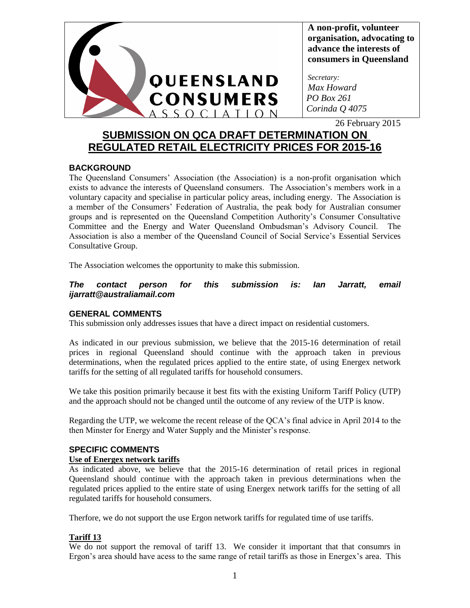

**A non-profit, volunteer organisation, advocating to advance the interests of consumers in Queensland**

*Secretary: Max Howard PO Box 261 Corinda Q 4075*

26 February 2015

# **SUBMISSION ON QCA DRAFT DETERMINATION ON REGULATED RETAIL ELECTRICITY PRICES FOR 2015-16**

# **BACKGROUND**

The Queensland Consumers' Association (the Association) is a non-profit organisation which exists to advance the interests of Queensland consumers. The Association's members work in a voluntary capacity and specialise in particular policy areas, including energy. The Association is a member of the Consumers' Federation of Australia, the peak body for Australian consumer groups and is represented on the Queensland Competition Authority's Consumer Consultative Committee and the Energy and Water Queensland Ombudsman's Advisory Council. The Association is also a member of the Queensland Council of Social Service's Essential Services Consultative Group.

The Association welcomes the opportunity to make this submission.

#### *The contact person for this submission is: Ian Jarratt, email ijarratt@australiamail.com*

# **GENERAL COMMENTS**

This submission only addresses issues that have a direct impact on residential customers.

As indicated in our previous submission, we believe that the 2015-16 determination of retail prices in regional Queensland should continue with the approach taken in previous determinations, when the regulated prices applied to the entire state, of using Energex network tariffs for the setting of all regulated tariffs for household consumers.

We take this position primarily because it best fits with the existing Uniform Tariff Policy (UTP) and the approach should not be changed until the outcome of any review of the UTP is know.

Regarding the UTP, we welcome the recent release of the QCA's final advice in April 2014 to the then Minster for Energy and Water Supply and the Minister's response.

# **SPECIFIC COMMENTS**

# **Use of Energex network tariffs**

As indicated above, we believe that the 2015-16 determination of retail prices in regional Queensland should continue with the approach taken in previous determinations when the regulated prices applied to the entire state of using Energex network tariffs for the setting of all regulated tariffs for household consumers.

Therfore, we do not support the use Ergon network tariffs for regulated time of use tariffs.

# **Tariff 13**

We do not support the removal of tariff 13. We consider it important that that consumrs in Ergon's area should have acess to the same range of retail tariffs as those in Energex's area. This